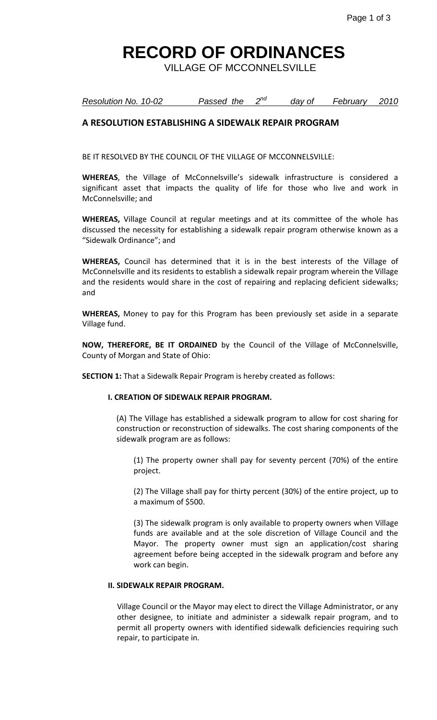### **RECORD OF ORDINANCES**

VILLAGE OF MCCONNELSVILLE

#### *Resolution No. 10-02 Passed the nd day of February 2010*

### **A RESOLUTION ESTABLISHING A SIDEWALK REPAIR PROGRAM**

BE IT RESOLVED BY THE COUNCIL OF THE VILLAGE OF MCCONNELSVILLE:

**WHEREAS**, the Village of McConnelsville's sidewalk infrastructure is considered a significant asset that impacts the quality of life for those who live and work in McConnelsville; and

**WHEREAS,** Village Council at regular meetings and at its committee of the whole has discussed the necessity for establishing a sidewalk repair program otherwise known as a "Sidewalk Ordinance"; and

**WHEREAS,** Council has determined that it is in the best interests of the Village of McConnelsville and its residents to establish a sidewalk repair program wherein the Village and the residents would share in the cost of repairing and replacing deficient sidewalks; and

**WHEREAS,** Money to pay for this Program has been previously set aside in a separate Village fund.

**NOW, THEREFORE, BE IT ORDAINED** by the Council of the Village of McConnelsville, County of Morgan and State of Ohio:

**SECTION 1:** That a Sidewalk Repair Program is hereby created as follows:

### **I. CREATION OF SIDEWALK REPAIR PROGRAM.**

(A) The Village has established a sidewalk program to allow for cost sharing for construction or reconstruction of sidewalks. The cost sharing components of the sidewalk program are as follows:

(1) The property owner shall pay for seventy percent (70%) of the entire project.

(2) The Village shall pay for thirty percent (30%) of the entire project, up to a maximum of \$500.

(3) The sidewalk program is only available to property owners when Village funds are available and at the sole discretion of Village Council and the Mayor. The property owner must sign an application/cost sharing agreement before being accepted in the sidewalk program and before any work can begin.

#### **II. SIDEWALK REPAIR PROGRAM.**

Village Council or the Mayor may elect to direct the Village Administrator, or any other designee, to initiate and administer a sidewalk repair program, and to permit all property owners with identified sidewalk deficiencies requiring such repair, to participate in.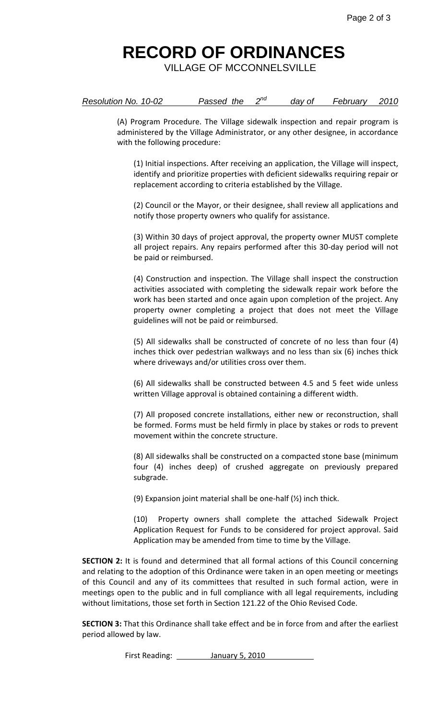## **RECORD OF ORDINANCES**

VILLAGE OF MCCONNELSVILLE

|  | Resolution No. 10-02 | Passed the |  | day of | February | 2010 |
|--|----------------------|------------|--|--------|----------|------|
|--|----------------------|------------|--|--------|----------|------|

(A) Program Procedure. The Village sidewalk inspection and repair program is administered by the Village Administrator, or any other designee, in accordance with the following procedure:

(1) Initial inspections. After receiving an application, the Village will inspect, identify and prioritize properties with deficient sidewalks requiring repair or replacement according to criteria established by the Village.

(2) Council or the Mayor, or their designee, shall review all applications and notify those property owners who qualify for assistance.

(3) Within 30 days of project approval, the property owner MUST complete all project repairs. Any repairs performed after this 30-day period will not be paid or reimbursed.

(4) Construction and inspection. The Village shall inspect the construction activities associated with completing the sidewalk repair work before the work has been started and once again upon completion of the project. Any property owner completing a project that does not meet the Village guidelines will not be paid or reimbursed.

(5) All sidewalks shall be constructed of concrete of no less than four (4) inches thick over pedestrian walkways and no less than six (6) inches thick where driveways and/or utilities cross over them.

(6) All sidewalks shall be constructed between 4.5 and 5 feet wide unless written Village approval is obtained containing a different width.

(7) All proposed concrete installations, either new or reconstruction, shall be formed. Forms must be held firmly in place by stakes or rods to prevent movement within the concrete structure.

(8) All sidewalks shall be constructed on a compacted stone base (minimum four (4) inches deep) of crushed aggregate on previously prepared subgrade.

(9) Expansion joint material shall be one-half (½) inch thick.

(10) Property owners shall complete the attached Sidewalk Project Application Request for Funds to be considered for project approval. Said Application may be amended from time to time by the Village.

**SECTION 2:** It is found and determined that all formal actions of this Council concerning and relating to the adoption of this Ordinance were taken in an open meeting or meetings of this Council and any of its committees that resulted in such formal action, were in meetings open to the public and in full compliance with all legal requirements, including without limitations, those set forth in Section 121.22 of the Ohio Revised Code.

**SECTION 3:** That this Ordinance shall take effect and be in force from and after the earliest period allowed by law.

First Reading: **January 5, 2010**